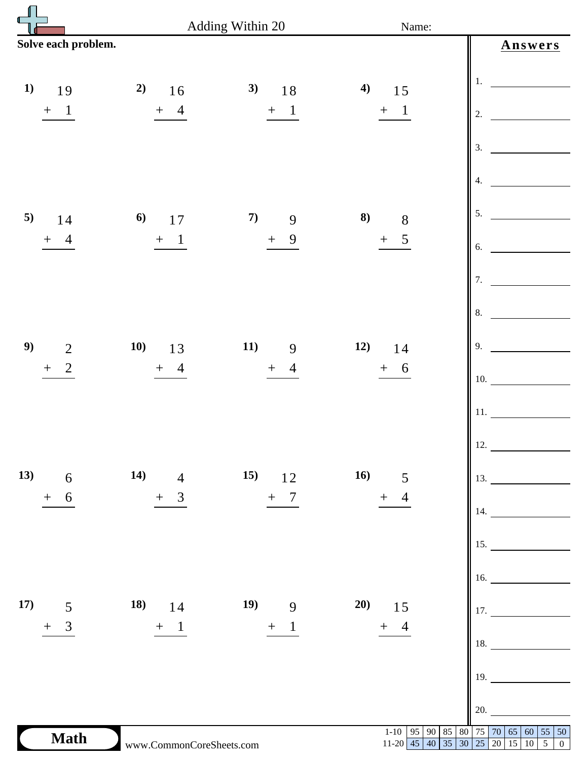|                                    |                          | Adding Within 20                  |                       | Name:                                                                   |  |
|------------------------------------|--------------------------|-----------------------------------|-----------------------|-------------------------------------------------------------------------|--|
| Solve each problem.                |                          |                                   |                       | Answers                                                                 |  |
| 1)<br>19                           | 2)<br>16                 | 3)<br>18                          | 4)<br>15              | 1.                                                                      |  |
| $\mathbf{1}$<br>$\boldsymbol{+}$   | $+ 4$                    | $\mathbf{1}$<br>$+$               | $+$ 1                 | 2.                                                                      |  |
|                                    |                          |                                   |                       | 3.                                                                      |  |
|                                    |                          |                                   |                       | 4.                                                                      |  |
| 5)<br>14                           | 6)<br>17                 | 7)<br>9                           | 8)<br>8               | 5.                                                                      |  |
| $\boldsymbol{+}$<br>4              | $+$ 1                    | 9<br>$+$                          | $\mathfrak{S}$<br>$+$ | 6.                                                                      |  |
|                                    |                          |                                   |                       | 7.                                                                      |  |
|                                    |                          |                                   |                       | 8.                                                                      |  |
| 9)<br>$\overline{2}$               | <b>10)</b><br>13         | 11)<br>9                          | 12)<br>14             | 9.                                                                      |  |
| $\overline{2}$<br>$\boldsymbol{+}$ | $+$ 4                    | $\overline{4}$<br>$+$             | $+ 6$                 | 10.                                                                     |  |
|                                    |                          |                                   |                       | 11.                                                                     |  |
|                                    |                          |                                   |                       | 12.                                                                     |  |
| 6 14) 4<br>13)                     |                          | 15) $12$ 16) 5<br>+ 7<br>+ 4      |                       | $\Big\ $ 13.                                                            |  |
| 6<br>$\boldsymbol{+}$              | $+ 3$                    |                                   |                       | $\Big\ $ 14.                                                            |  |
|                                    |                          |                                   |                       | 15.                                                                     |  |
|                                    |                          |                                   |                       | 16.                                                                     |  |
| 17) 5                              | 18) $14$                 | 19) 9 20) 15<br>+ 1 $\frac{1}{2}$ |                       |                                                                         |  |
| $+ 3$                              | $+ 1$                    |                                   |                       | $\begin{bmatrix} 17. & \ & 18. & \ & & \ \end{bmatrix}$<br>18.          |  |
|                                    |                          |                                   |                       | 19.                                                                     |  |
|                                    |                          |                                   |                       |                                                                         |  |
|                                    |                          |                                   |                       | 20.                                                                     |  |
| <b>Math</b>                        | www.CommonCoreSheets.com |                                   |                       | 1-10 95 90 85 80 75 70 65 60 55 50<br>11-20 45 40 35 30 25 20 15 10 5 0 |  |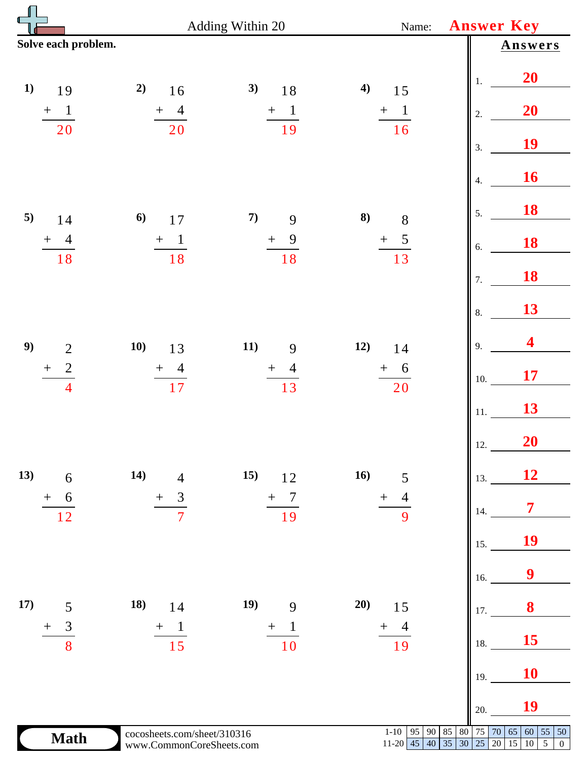|                                                      | Adding Within 20                                        | <b>Answer Key</b>                        |                                                  |                                                                                                                                                                        |
|------------------------------------------------------|---------------------------------------------------------|------------------------------------------|--------------------------------------------------|------------------------------------------------------------------------------------------------------------------------------------------------------------------------|
| Solve each problem.                                  |                                                         |                                          |                                                  | Answers                                                                                                                                                                |
| 1)<br>19                                             | 2)<br>$16$                                              | 3)<br>18                                 | 4)<br>15                                         | 20<br>1.                                                                                                                                                               |
| $+$ 1                                                | $\frac{+4}{20}$                                         | $\frac{+1}{19}$                          | $\frac{+}{16}$                                   | 20<br>2.                                                                                                                                                               |
| 20                                                   |                                                         |                                          |                                                  | 19<br>3.                                                                                                                                                               |
|                                                      |                                                         |                                          |                                                  | 16<br>4.                                                                                                                                                               |
| 5)<br>14                                             | 6)<br>17                                                | 7)<br>9                                  | 8)<br>$\,8$                                      | 18<br>5.                                                                                                                                                               |
| $+$ 4<br>18                                          | $\frac{+}{18}$                                          | $\frac{+}{18}$                           | $\frac{+}{13}$                                   | 18<br>6.                                                                                                                                                               |
|                                                      |                                                         |                                          |                                                  | 18<br>7.                                                                                                                                                               |
|                                                      |                                                         |                                          |                                                  | 13<br>8.                                                                                                                                                               |
| 9)<br>$\overline{2}$                                 | 10)<br>13                                               | 11)<br>9                                 | 12)<br>14                                        | 4<br>9.                                                                                                                                                                |
| $\overline{c}$<br>$\boldsymbol{+}$<br>$\overline{4}$ | $\frac{+}{17}$                                          | $\overline{4}$<br>$+$<br>$\overline{13}$ | $+$ 6<br>20                                      | 17<br>10.                                                                                                                                                              |
|                                                      |                                                         |                                          |                                                  | 13<br>11.                                                                                                                                                              |
|                                                      |                                                         |                                          |                                                  | 20<br>12.                                                                                                                                                              |
| 13)<br>6                                             | 14)<br>$\overline{4}$                                   | 15)<br>12                                | 16)<br>5                                         | 12<br>13.                                                                                                                                                              |
| 6<br>$\boldsymbol{+}$<br>12                          | 3<br>$^{+}$<br>7                                        | 7<br>$^{+}$<br>19                        | $\hspace{0.1mm} +$<br>9                          | $\overline{7}$<br>14.                                                                                                                                                  |
|                                                      |                                                         |                                          |                                                  | 19<br>15.                                                                                                                                                              |
|                                                      |                                                         |                                          |                                                  | 9<br>16.                                                                                                                                                               |
| 17)<br>5                                             | 18)<br>14                                               | 19)<br>9                                 | 20)<br>15                                        | 8<br>17.                                                                                                                                                               |
| 3<br>$\hspace{0.1mm} +$<br>8                         | $+$<br>$\mathbf{I}$<br>15                               | $\mathbf 1$<br>$^{+}$<br>10              | 4<br>十<br>19                                     | 15<br>18.                                                                                                                                                              |
|                                                      |                                                         |                                          |                                                  | 10<br>19.                                                                                                                                                              |
|                                                      |                                                         |                                          |                                                  | 19<br>20.                                                                                                                                                              |
| <b>Math</b>                                          | cocosheets.com/sheet/310316<br>www.CommonCoreSheets.com |                                          | $1 - 10$<br>95<br>90<br>$11-20$ 45<br>$\vert$ 40 | 85<br>$75\,$<br>70<br>65<br>55<br>80<br>60<br>$\vert$ 50<br>$\overline{35}$<br>$\overline{25}$<br>$\overline{5}$<br>$\overline{30}$<br>20<br>15 10<br>$\boldsymbol{0}$ |